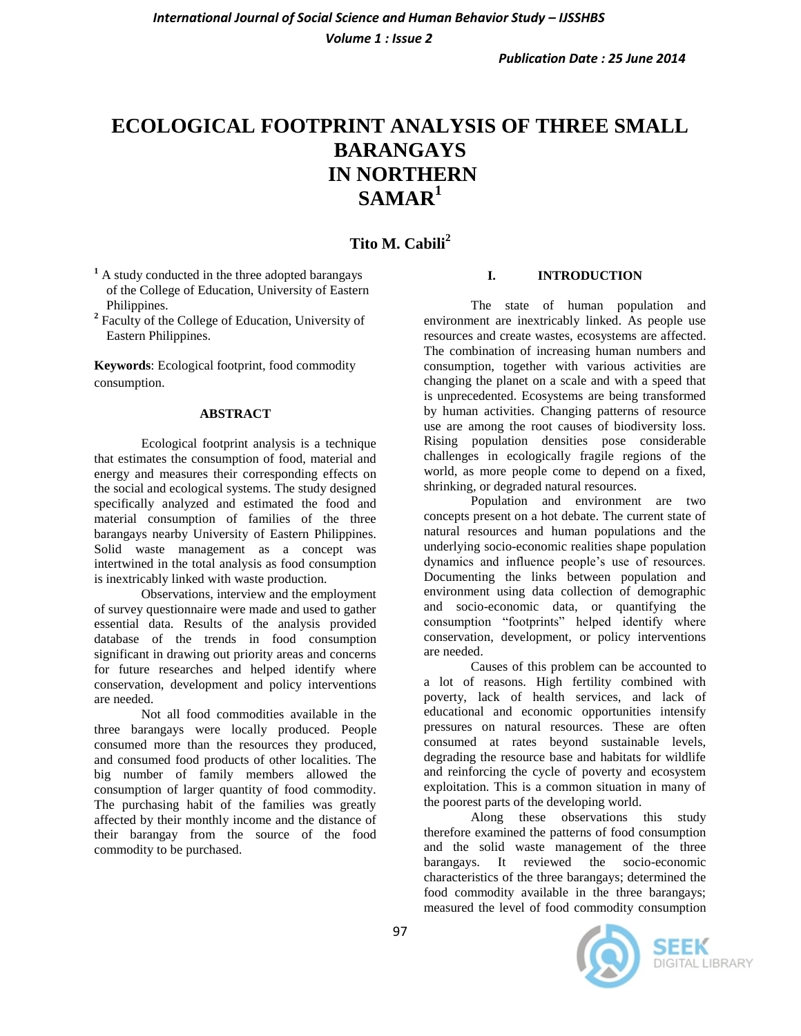*Volume 1 : Issue 2*

# **ECOLOGICAL FOOTPRINT ANALYSIS OF THREE SMALL BARANGAYS IN NORTHERN SAMAR<sup>1</sup>**

# **Tito M. Cabili<sup>2</sup>**

**<sup>1</sup>** A study conducted in the three adopted barangays of the College of Education, University of Eastern Philippines.

**2** Faculty of the College of Education, University of Eastern Philippines.

**Keywords**: Ecological footprint, food commodity consumption.

#### **ABSTRACT**

Ecological footprint analysis is a technique that estimates the consumption of food, material and energy and measures their corresponding effects on the social and ecological systems. The study designed specifically analyzed and estimated the food and material consumption of families of the three barangays nearby University of Eastern Philippines. Solid waste management as a concept was intertwined in the total analysis as food consumption is inextricably linked with waste production.

Observations, interview and the employment of survey questionnaire were made and used to gather essential data. Results of the analysis provided database of the trends in food consumption significant in drawing out priority areas and concerns for future researches and helped identify where conservation, development and policy interventions are needed.

Not all food commodities available in the three barangays were locally produced. People consumed more than the resources they produced, and consumed food products of other localities. The big number of family members allowed the consumption of larger quantity of food commodity. The purchasing habit of the families was greatly affected by their monthly income and the distance of their barangay from the source of the food commodity to be purchased.

#### **I. INTRODUCTION**

The state of human population and environment are inextricably linked. As people use resources and create wastes, ecosystems are affected. The combination of increasing human numbers and consumption, together with various activities are changing the planet on a scale and with a speed that is unprecedented. Ecosystems are being transformed by human activities. Changing patterns of resource use are among the root causes of biodiversity loss. Rising population densities pose considerable challenges in ecologically fragile regions of the world, as more people come to depend on a fixed, shrinking, or degraded natural resources.

Population and environment are two concepts present on a hot debate. The current state of natural resources and human populations and the underlying socio-economic realities shape population dynamics and influence people's use of resources. Documenting the links between population and environment using data collection of demographic and socio-economic data, or quantifying the consumption "footprints" helped identify where conservation, development, or policy interventions are needed.

Causes of this problem can be accounted to a lot of reasons. High fertility combined with poverty, lack of health services, and lack of educational and economic opportunities intensify pressures on natural resources. These are often consumed at rates beyond sustainable levels, degrading the resource base and habitats for wildlife and reinforcing the cycle of poverty and ecosystem exploitation. This is a common situation in many of the poorest parts of the developing world.

Along these observations this study therefore examined the patterns of food consumption and the solid waste management of the three barangays. It reviewed the socio-economic characteristics of the three barangays; determined the food commodity available in the three barangays; measured the level of food commodity consumption

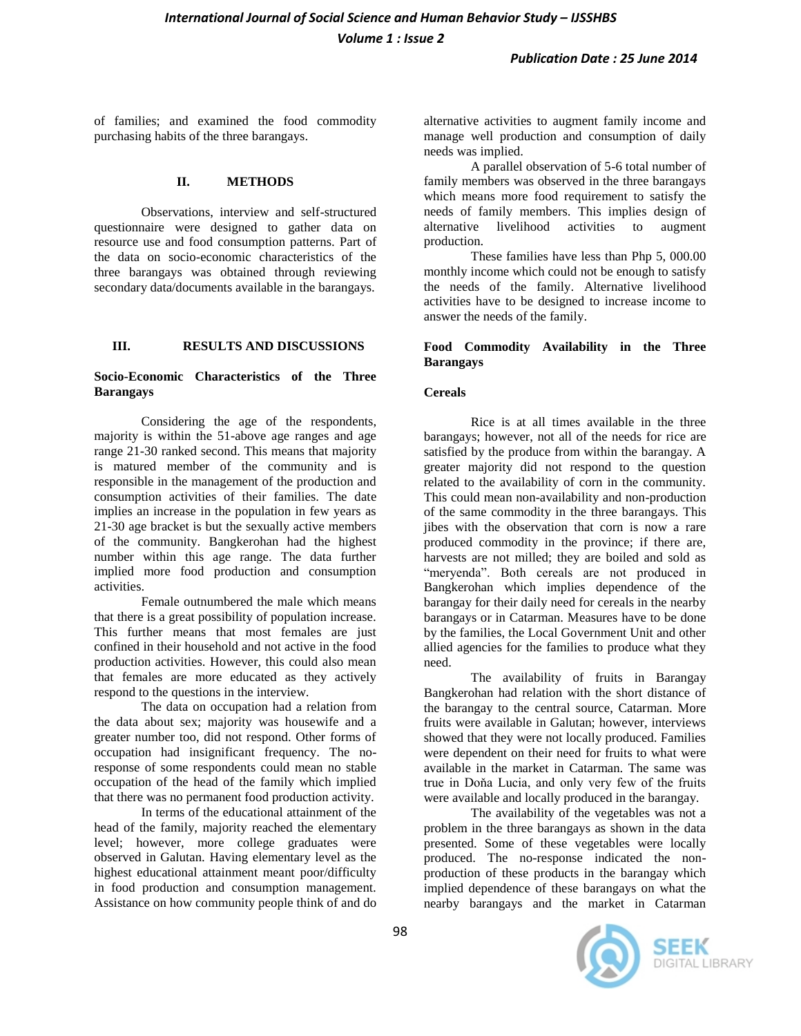of families; and examined the food commodity purchasing habits of the three barangays.

#### **II. METHODS**

Observations, interview and self-structured questionnaire were designed to gather data on resource use and food consumption patterns. Part of the data on socio-economic characteristics of the three barangays was obtained through reviewing secondary data/documents available in the barangays.

## **III. RESULTS AND DISCUSSIONS**

### **Socio-Economic Characteristics of the Three Barangays**

Considering the age of the respondents, majority is within the 51-above age ranges and age range 21-30 ranked second. This means that majority is matured member of the community and is responsible in the management of the production and consumption activities of their families. The date implies an increase in the population in few years as 21-30 age bracket is but the sexually active members of the community. Bangkerohan had the highest number within this age range. The data further implied more food production and consumption activities.

Female outnumbered the male which means that there is a great possibility of population increase. This further means that most females are just confined in their household and not active in the food production activities. However, this could also mean that females are more educated as they actively respond to the questions in the interview.

The data on occupation had a relation from the data about sex; majority was housewife and a greater number too, did not respond. Other forms of occupation had insignificant frequency. The noresponse of some respondents could mean no stable occupation of the head of the family which implied that there was no permanent food production activity.

In terms of the educational attainment of the head of the family, majority reached the elementary level; however, more college graduates were observed in Galutan. Having elementary level as the highest educational attainment meant poor/difficulty in food production and consumption management. Assistance on how community people think of and do alternative activities to augment family income and manage well production and consumption of daily needs was implied.

A parallel observation of 5-6 total number of family members was observed in the three barangays which means more food requirement to satisfy the needs of family members. This implies design of alternative livelihood activities to augment production.

These families have less than Php 5, 000.00 monthly income which could not be enough to satisfy the needs of the family. Alternative livelihood activities have to be designed to increase income to answer the needs of the family.

#### **Food Commodity Availability in the Three Barangays**

## **Cereals**

Rice is at all times available in the three barangays; however, not all of the needs for rice are satisfied by the produce from within the barangay. A greater majority did not respond to the question related to the availability of corn in the community. This could mean non-availability and non-production of the same commodity in the three barangays. This iibes with the observation that corn is now a rare produced commodity in the province; if there are, harvests are not milled; they are boiled and sold as "meryenda". Both cereals are not produced in Bangkerohan which implies dependence of the barangay for their daily need for cereals in the nearby barangays or in Catarman. Measures have to be done by the families, the Local Government Unit and other allied agencies for the families to produce what they need.

The availability of fruits in Barangay Bangkerohan had relation with the short distance of the barangay to the central source, Catarman. More fruits were available in Galutan; however, interviews showed that they were not locally produced. Families were dependent on their need for fruits to what were available in the market in Catarman. The same was true in Doňa Lucia, and only very few of the fruits were available and locally produced in the barangay.

The availability of the vegetables was not a problem in the three barangays as shown in the data presented. Some of these vegetables were locally produced. The no-response indicated the nonproduction of these products in the barangay which implied dependence of these barangays on what the nearby barangays and the market in Catarman



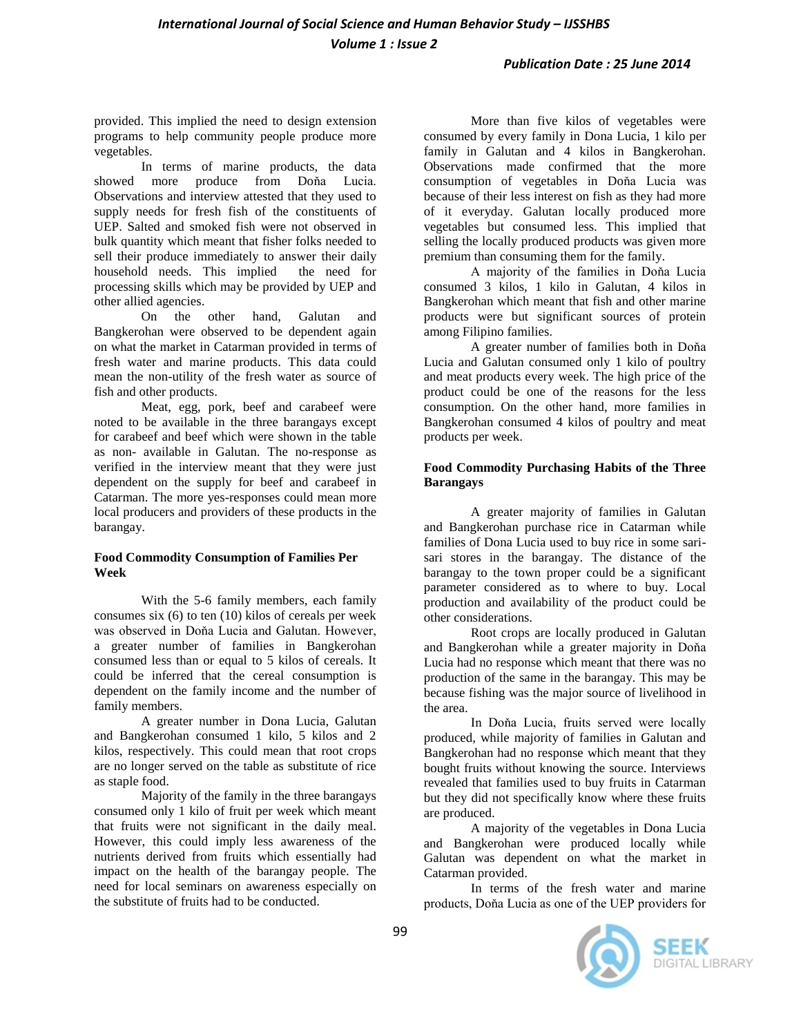# *International Journal of Social Science and Human Behavior Study – IJSSHBS Volume 1 : Issue 2*

#### *Publication Date : 25 June 2014*

provided. This implied the need to design extension programs to help community people produce more vegetables.

In terms of marine products, the data showed more produce from Doňa Lucia. Observations and interview attested that they used to supply needs for fresh fish of the constituents of UEP. Salted and smoked fish were not observed in bulk quantity which meant that fisher folks needed to sell their produce immediately to answer their daily household needs. This implied the need for processing skills which may be provided by UEP and other allied agencies.

other hand, Galutan and Bangkerohan were observed to be dependent again on what the market in Catarman provided in terms of fresh water and marine products. This data could mean the non-utility of the fresh water as source of fish and other products.

Meat, egg, pork, beef and carabeef were noted to be available in the three barangays except for carabeef and beef which were shown in the table as non- available in Galutan. The no-response as verified in the interview meant that they were just dependent on the supply for beef and carabeef in Catarman. The more yes-responses could mean more local producers and providers of these products in the barangay.

#### **Food Commodity Consumption of Families Per Week**

With the 5-6 family members, each family consumes six (6) to ten (10) kilos of cereals per week was observed in Doňa Lucia and Galutan. However, a greater number of families in Bangkerohan consumed less than or equal to 5 kilos of cereals. It could be inferred that the cereal consumption is dependent on the family income and the number of family members.

A greater number in Dona Lucia, Galutan and Bangkerohan consumed 1 kilo, 5 kilos and 2 kilos, respectively. This could mean that root crops are no longer served on the table as substitute of rice as staple food.

Majority of the family in the three barangays consumed only 1 kilo of fruit per week which meant that fruits were not significant in the daily meal. However, this could imply less awareness of the nutrients derived from fruits which essentially had impact on the health of the barangay people. The need for local seminars on awareness especially on the substitute of fruits had to be conducted.

More than five kilos of vegetables were consumed by every family in Dona Lucia, 1 kilo per family in Galutan and 4 kilos in Bangkerohan. Observations made confirmed that the more consumption of vegetables in Doňa Lucia was because of their less interest on fish as they had more of it everyday. Galutan locally produced more vegetables but consumed less. This implied that selling the locally produced products was given more premium than consuming them for the family.

A majority of the families in Doňa Lucia consumed 3 kilos, 1 kilo in Galutan, 4 kilos in Bangkerohan which meant that fish and other marine products were but significant sources of protein among Filipino families.

A greater number of families both in Doňa Lucia and Galutan consumed only 1 kilo of poultry and meat products every week. The high price of the product could be one of the reasons for the less consumption. On the other hand, more families in Bangkerohan consumed 4 kilos of poultry and meat products per week.

#### **Food Commodity Purchasing Habits of the Three Barangays**

A greater majority of families in Galutan and Bangkerohan purchase rice in Catarman while families of Dona Lucia used to buy rice in some sarisari stores in the barangay. The distance of the barangay to the town proper could be a significant parameter considered as to where to buy. Local production and availability of the product could be other considerations.

Root crops are locally produced in Galutan and Bangkerohan while a greater majority in Doňa Lucia had no response which meant that there was no production of the same in the barangay. This may be because fishing was the major source of livelihood in the area.

In Doňa Lucia, fruits served were locally produced, while majority of families in Galutan and Bangkerohan had no response which meant that they bought fruits without knowing the source. Interviews revealed that families used to buy fruits in Catarman but they did not specifically know where these fruits are produced.

A majority of the vegetables in Dona Lucia and Bangkerohan were produced locally while Galutan was dependent on what the market in Catarman provided.

In terms of the fresh water and marine products, Doňa Lucia as one of the UEP providers for

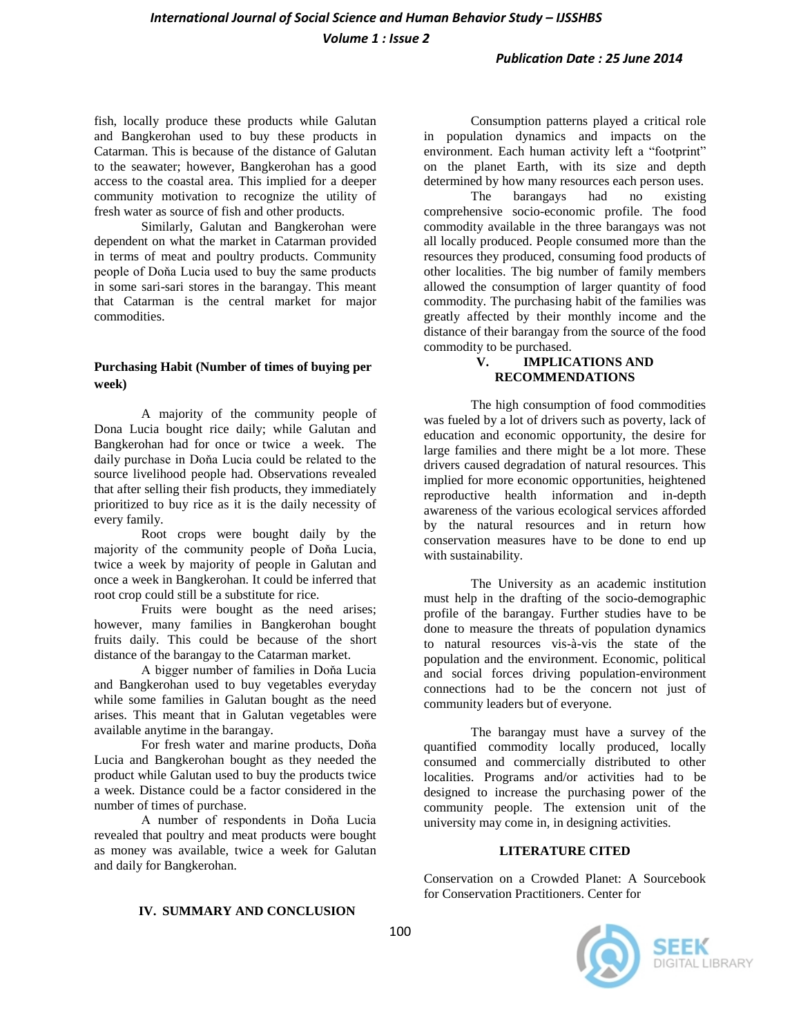fish, locally produce these products while Galutan and Bangkerohan used to buy these products in Catarman. This is because of the distance of Galutan to the seawater; however, Bangkerohan has a good access to the coastal area. This implied for a deeper community motivation to recognize the utility of fresh water as source of fish and other products.

Similarly, Galutan and Bangkerohan were dependent on what the market in Catarman provided in terms of meat and poultry products. Community people of Doňa Lucia used to buy the same products in some sari-sari stores in the barangay. This meant that Catarman is the central market for major commodities.

#### **Purchasing Habit (Number of times of buying per week)**

A majority of the community people of Dona Lucia bought rice daily; while Galutan and Bangkerohan had for once or twice a week. The daily purchase in Doňa Lucia could be related to the source livelihood people had. Observations revealed that after selling their fish products, they immediately prioritized to buy rice as it is the daily necessity of every family.

Root crops were bought daily by the majority of the community people of Doňa Lucia, twice a week by majority of people in Galutan and once a week in Bangkerohan. It could be inferred that root crop could still be a substitute for rice.

Fruits were bought as the need arises; however, many families in Bangkerohan bought fruits daily. This could be because of the short distance of the barangay to the Catarman market.

A bigger number of families in Doňa Lucia and Bangkerohan used to buy vegetables everyday while some families in Galutan bought as the need arises. This meant that in Galutan vegetables were available anytime in the barangay.

For fresh water and marine products, Doňa Lucia and Bangkerohan bought as they needed the product while Galutan used to buy the products twice a week. Distance could be a factor considered in the number of times of purchase.

A number of respondents in Doňa Lucia revealed that poultry and meat products were bought as money was available, twice a week for Galutan and daily for Bangkerohan.

#### **IV. SUMMARY AND CONCLUSION**

Consumption patterns played a critical role in population dynamics and impacts on the environment. Each human activity left a "footprint" on the planet Earth, with its size and depth determined by how many resources each person uses.

The barangays had no existing comprehensive socio-economic profile. The food commodity available in the three barangays was not all locally produced. People consumed more than the resources they produced, consuming food products of other localities. The big number of family members allowed the consumption of larger quantity of food commodity. The purchasing habit of the families was greatly affected by their monthly income and the distance of their barangay from the source of the food commodity to be purchased.

### **V. IMPLICATIONS AND RECOMMENDATIONS**

The high consumption of food commodities was fueled by a lot of drivers such as poverty, lack of education and economic opportunity, the desire for large families and there might be a lot more. These drivers caused degradation of natural resources. This implied for more economic opportunities, heightened reproductive health information and in-depth awareness of the various ecological services afforded by the natural resources and in return how conservation measures have to be done to end up with sustainability.

The University as an academic institution must help in the drafting of the socio-demographic profile of the barangay. Further studies have to be done to measure the threats of population dynamics to natural resources vis-à-vis the state of the population and the environment. Economic, political and social forces driving population-environment connections had to be the concern not just of community leaders but of everyone.

The barangay must have a survey of the quantified commodity locally produced, locally consumed and commercially distributed to other localities. Programs and/or activities had to be designed to increase the purchasing power of the community people. The extension unit of the university may come in, in designing activities.

#### **LITERATURE CITED**

Conservation on a Crowded Planet: A Sourcebook for Conservation Practitioners. Center for